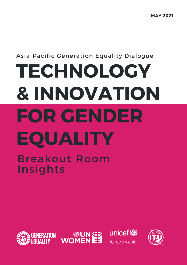## Asia-Pacific Generation Equality Dialogue

# **TECHNOLOGY & INNOVATION FOR GENDER EQUALITY** Breakout Room Insights







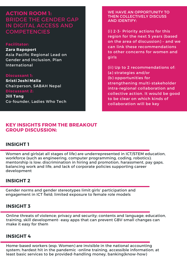**ACTION ROOM 1:** BRIDGE THE GENDER GAP IN DIGITAL ACCESS AND **COMPETENCIES** 

#### **Facilitator:**

**Zara Rapoport** Asia Pacific Regional Lead on Gender and Inclusion, Plan International

#### **Discussant 1:**

**Sristi Joshi Malla** Chairperson, SABAH Nepal **Discussant 2:**

**Jill Tang** Co-founder, Ladies Who Tech

#### WE HAVE AN OPPORTUNITY TO THEN COLLECTIVELY DISCUSS AND IDENTIFY:

(i) 2-3- Priority actions for this region for the next 5 years (based on the area of discussion) – and we can link these recommendations to other concerns for women and girls

(ii) Up to 2 recommendations of: (a) strategies and/or (b) opportunities for strengthening multi-stakeholder intra-regional collaboration and collective action. It would be good to be clear on which kinds of collaboration will be key

### **KEY INSIGHTS FROM THE BREAKOUT GROUP DISCUSSION:**

#### **INSIGHT 1**

Women and girls(at all stages of life) are underrepresented in ICT/STEM education, workforce (such as engineering, computer programming, coding, robotics); mentorship is low; discrimination in hiring and promotion, harassment, pay gaps, balancing work and life, and lack of corporate policies supporting career development

## **INSIGHT 2**

Gender norms and gender stereotypes limit girls' participation and engagement in ICT field; limited exposure to female role models

## **INSIGHT 3**

Online threats of violence; privacy and security; contents and language; education, training, skill development- easy apps that can prevent GBV-small changes can make it easy for them

#### **INSIGHT 4**

Home-based workers (esp. Women) are invisible in the national accounting system; hardest hit in the pandemic -online training, accessible information; at least basic services to be provided-handling money, banking(know-how)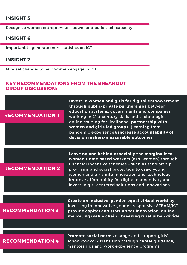## **INSIGHT 5**

Recognize women entrepreneurs' power and build their capacity

#### **INSIGHT 6**

Important to generate more statistics on ICT

#### **INSIGHT 7**

Mindset change- to help women engage in ICT

#### **KEY RECOMMENDATIONS FROM THE BREAKOUT GROUP DISCUSSION:**

#### **RECOMMENDATION 1**

**Invest in women and girls for digital empowerment through public-private partnerships** between education systems, governments and companies working in 21st century skills and technologies; online training for livelihood; **partnership with women and girls led groups.** (learning from pandemic experience); **increase accountability of decision makers-measurable outcomes**

**RECOMMENDATION 2**

**Leave no one behind especially the marginalized women Home based workers** (esp. women) through financial incentive schemes – such as scholarship programs and social protection to draw young women and girls into innovation and technology. Improve affordability for digital connectivity and invest in girl-centered solutions and innovations

#### **RECOMMENDATION 3**

**Create an inclusive, gender-equal virtual world** by investing in innovative gender-responsive STEAM/ICT; **provide capital and start up for innovation; online marketing (value chain), breaking rural urban divide**

#### **RECOMMENDATION 4**

**Promote social norms** change and support girls' school-to-work transition through career guidance, mentorships and work experience programs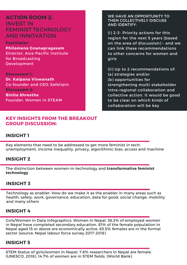**ACTION ROOM 2:** INVEST IN FEMINIST TECHNOLOGY AND INNOVATION

**Facilitator: Philomena Gnanapragasam** Director, Asia-Pacific Institute for Broadcasting Development

**Discussant 1: Dr. Kalpana Viswanath** Co-founder and CEO, Safetipin **Discussant 2: Binita Shrestha** Founder, Women in STEAM

## **KEY INSIGHTS FROM THE BREAKOUT GROUP DISCUSSION:**

#### WE HAVE AN OPPORTUNITY TO THEN COLLECTIVELY DISCUSS AND IDENTIFY:

(i) 2-3- Priority actions for this region for the next 5 years (based on the area of discussion) – and we can link these recommendations to other concerns for women and girls

(ii) Up to 2 recommendations of: (a) strategies and/or (b) opportunities for strengthening multi-stakeholder intra-regional collaboration and collective action. It would be good to be clear on which kinds of collaboration will be key

## **INSIGHT 1**

Key elements that need to be addressed to get more feminist in tech: unemployment, income inequality, privacy, algorithmic bias, access and machine

## **INSIGHT 2**

The distinction between women-in-technology and **transformative feminist technology**

## **INSIGHT 3**

Technology as enabler. How do we make it as the enabler in many areas such as health, safety, work, governance, education, data for good, social change, mobility and many others

## **INSIGHT 4**

Girls/Women in Data infographics: Women in Nepal. 36.3% of employed women in Nepal have completed secondary education. 81% of the female population in Nepal aged 15 or above are economically active. 65.5% females are in the formal sector (source: Nepal labour force survey 2017-2018)

## **INSIGHT 5**

STEM Status of girls/women in Nepal: 7.8% researchers in Nepal are female. (UNESCO, 2018). 14.7% of women are in STEM fields. (World Bank)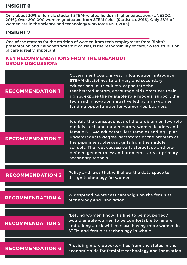## **INSIGHT 6**

Only about 30% of female student STEM-related fields in higher education. (UNESCO, 2016). Over 200,000 women graduated from STEM fields (Statistica, 2016). Only 28% of women are in the science and technology workforce NSB, 2015)

## **INSIGHT 7**

One of the reasons for the attrition of women from tech employment from Binita's presentation and Kalpana's systemic causes, is the responsibility of care. So redistribution of care is really important

## **KEY RECOMMENDATIONS FROM THE BREAKOUT GROUP DISCUSSION:**

| <b>RECOMMENDATION 1</b> | <b>Covernment could invest in foundation: introduce</b><br><b>STEAM</b> disciplines to primary and secondary<br>educational curriculums, capacitate the<br>teachers/educators, encourage girls practices their<br>rights, expose the relatable role models, support the<br>tech and innovation initiative led by girls/women,<br>funding opportunities for women-led business                           |
|-------------------------|---------------------------------------------------------------------------------------------------------------------------------------------------------------------------------------------------------------------------------------------------------------------------------------------------------------------------------------------------------------------------------------------------------|
| <b>RECOMMENDATION 2</b> | Identify the consequences of the problem on few role<br>models, tech and data mentors, women leaders and<br>female STEAM educators, less females ending up at<br>undergraduate degree, symptoms of the problem at<br>the pipeline: adolescent girls from the middle<br>schools. The root causes: early stereotype and pre-<br>defined gender roles; and problem starts at primary-<br>secondary schools |
| <b>RECOMMENDATION 3</b> | Policy and laws that will allow the data space to<br>design technology for women                                                                                                                                                                                                                                                                                                                        |
| <b>RECOMMENDATION 4</b> | Widespread awareness campaign on the feminist<br>technology and innovation                                                                                                                                                                                                                                                                                                                              |
| <b>RECOMMENDATION 5</b> | "Letting women know it's fine to be not perfect"<br>would enable women to be comfortable to failure<br>and taking a risk will increase having more women in<br>STEM and feminist technology in whole                                                                                                                                                                                                    |
| <b>RECOMMENDATION 6</b> | Providing more opportunities from the states in the<br>is side for foreinist technology and innovation                                                                                                                                                                                                                                                                                                  |

economic side for feminist technology and innovation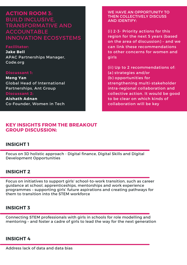**ACTION ROOM 3:** BUILD INCLUSIVE, TRANSFORMATIVE AND ACCOUNTABLE INNOVATION ECOSYSTEMS

**Facilitator: Jake Bell** APAC Partnerships Manager, Code.org

#### **Discussant 1:**

**Meng Yan** Global Head of International Partnerships, Ant Group **Discussant 2:**

**Aishath Adnan** Co-Founder, Women in Tech

#### **KEY INSIGHTS FROM THE BREAKOUT GROUP DISCUSSION:**

#### WE HAVE AN OPPORTUNITY TO THEN COLLECTIVELY DISCUSS AND IDENTIFY:

(i) 2-3- Priority actions for this region for the next 5 years (based on the area of discussion) – and we can link these recommendations to other concerns for women and girls

(ii) Up to 2 recommendations of: (a) strategies and/or (b) opportunities for strengthening multi-stakeholder intra-regional collaboration and collective action. It would be good to be clear on which kinds of collaboration will be key

## **INSIGHT 1**

Focus on 3D holistic approach - Digital finance, Digital Skills and Digital Development Opportunities

## **INSIGHT 2**

Focus on initiatives to support girls' school-to-work transition, such as career guidance at school, apprenticeships, mentorships and work experience programmes – supporting girls' future aspirations and creating pathways for them to transition into the STEM workforce

## **INSIGHT 3**

Connecting STEM professionals with girls in schools for role modelling and mentoring – and foster a cadre of girls to lead the way for the next generation

## **INSIGHT 4**

Address lack of data and data bias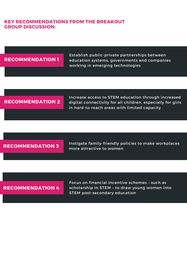## **KEY RECOMMENDATIONS FROM THE BREAKOUT GROUP DISCUSSION:**

#### **RECOMMENDATION 1**

Establish public-private partnerships between education systems, governments and companies working in emerging technologies

## **RECOMMENDATION 2**

Increase access to STEM education through increased digital connectivity for all children, especially for girls in hard-to-reach areas with limited capacity

**RECOMMENDATION 3**

Instigate family-friendly policies to make workplaces more attractive to women

## **RECOMMENDATION 4**

Focus on financial incentive schemes – such as scholarship in STEM – to draw young women into STEM post-secondary education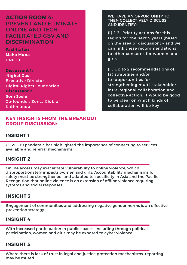**ACTION ROOM 4:** PREVENT AND ELIMINATE ONLINE AND TECH-FACILITATED GBV AND DISCRIMINATION

**Facilitator: Maha Muna UNICEF** 

**Discussant 1: Nighat Dad** Executive Director Digital Rights Foundation **Discussant 2: Soni Joshi** Co-founder, Zonta Club of Kathmandu

## **KEY INSIGHTS FROM THE BREAKOUT GROUP DISCUSSION:**

#### WE HAVE AN OPPORTUNITY TO THEN COLLECTIVELY DISCUSS AND IDENTIFY:

(i) 2-3- Priority actions for this region for the next 5 years (based on the area of discussion) – and we can link these recommendations to other concerns for women and girls

(ii) Up to 2 recommendations of: (a) strategies and/or (b) opportunities for strengthening multi-stakeholder intra-regional collaboration and collective action. It would be good to be clear on which kinds of collaboration will be key

## **INSIGHT 1**

COVID-19 pandemic has highlighted the importance of connecting to services available and referral mechanisms

## **INSIGHT 2**

Online access may exacerbate vulnerability to online violence, which disproportionately impacts women and girls. Accountability mechanisms for safety must be strengthened, and adapted to specificity in Asia and the Pacific. Recognition that online violence is an extension of offline violence requiring systems and social responses

## **INSIGHT 3**

Engagement of communities and addressing negative gender norms is an effective prevention strategy

## **INSIGHT 4**

With increased participation in public spaces, including through political participation, women and girls may be exposed to cyber violence

## **INSIGHT 5**

Where there is lack of trust in legal and justice protection mechanisms, reporting may be muted